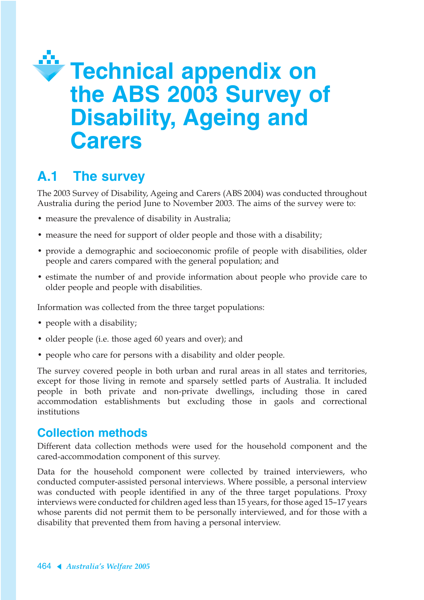# **Technical appendix on the ABS 2003 Survey of Disability, Ageing and Carers**

# **A.1 The survey**

The 2003 Survey of Disability, Ageing and Carers (ABS 2004) was conducted throughout Australia during the period June to November 2003. The aims of the survey were to:

- measure the prevalence of disability in Australia;
- measure the need for support of older people and those with a disability;
- provide a demographic and socioeconomic profile of people with disabilities, older people and carers compared with the general population; and
- estimate the number of and provide information about people who provide care to older people and people with disabilities.

Information was collected from the three target populations:

- people with a disability;
- older people (i.e. those aged 60 years and over); and
- people who care for persons with a disability and older people.

The survey covered people in both urban and rural areas in all states and territories, except for those living in remote and sparsely settled parts of Australia. It included people in both private and non-private dwellings, including those in cared accommodation establishments but excluding those in gaols and correctional institutions

#### **Collection methods**

Different data collection methods were used for the household component and the cared-accommodation component of this survey.

Data for the household component were collected by trained interviewers, who conducted computer-assisted personal interviews. Where possible, a personal interview was conducted with people identified in any of the three target populations. Proxy interviews were conducted for children aged less than 15 years, for those aged 15–17 years whose parents did not permit them to be personally interviewed, and for those with a disability that prevented them from having a personal interview.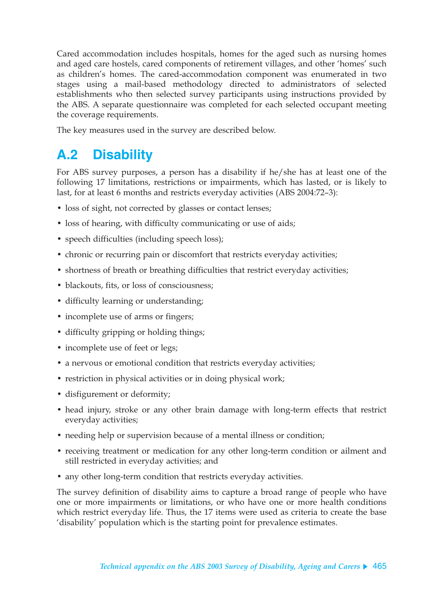Cared accommodation includes hospitals, homes for the aged such as nursing homes and aged care hostels, cared components of retirement villages, and other 'homes' such as children's homes. The cared-accommodation component was enumerated in two stages using a mail-based methodology directed to administrators of selected establishments who then selected survey participants using instructions provided by the ABS. A separate questionnaire was completed for each selected occupant meeting the coverage requirements.

The key measures used in the survey are described below.

## **A.2 Disability**

For ABS survey purposes, a person has a disability if he/she has at least one of the following 17 limitations, restrictions or impairments, which has lasted, or is likely to last, for at least 6 months and restricts everyday activities (ABS 2004:72–3):

- loss of sight, not corrected by glasses or contact lenses;
- loss of hearing, with difficulty communicating or use of aids;
- speech difficulties (including speech loss);
- chronic or recurring pain or discomfort that restricts everyday activities;
- shortness of breath or breathing difficulties that restrict everyday activities;
- blackouts, fits, or loss of consciousness:
- difficulty learning or understanding;
- incomplete use of arms or fingers;
- difficulty gripping or holding things;
- incomplete use of feet or legs;
- a nervous or emotional condition that restricts everyday activities;
- restriction in physical activities or in doing physical work;
- disfigurement or deformity;
- head injury, stroke or any other brain damage with long-term effects that restrict everyday activities;
- needing help or supervision because of a mental illness or condition;
- receiving treatment or medication for any other long-term condition or ailment and still restricted in everyday activities; and
- any other long-term condition that restricts everyday activities.

The survey definition of disability aims to capture a broad range of people who have one or more impairments or limitations, or who have one or more health conditions which restrict everyday life. Thus, the 17 items were used as criteria to create the base 'disability' population which is the starting point for prevalence estimates.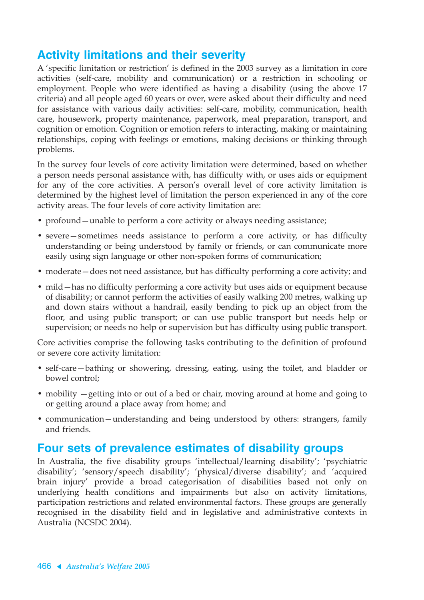### **Activity limitations and their severity**

A 'specific limitation or restriction' is defined in the 2003 survey as a limitation in core activities (self-care, mobility and communication) or a restriction in schooling or employment. People who were identified as having a disability (using the above 17 criteria) and all people aged 60 years or over, were asked about their difficulty and need for assistance with various daily activities: self-care, mobility, communication, health care, housework, property maintenance, paperwork, meal preparation, transport, and cognition or emotion. Cognition or emotion refers to interacting, making or maintaining relationships, coping with feelings or emotions, making decisions or thinking through problems.

In the survey four levels of core activity limitation were determined, based on whether a person needs personal assistance with, has difficulty with, or uses aids or equipment for any of the core activities. A person's overall level of core activity limitation is determined by the highest level of limitation the person experienced in any of the core activity areas. The four levels of core activity limitation are:

- profound—unable to perform a core activity or always needing assistance;
- severe—sometimes needs assistance to perform a core activity, or has difficulty understanding or being understood by family or friends, or can communicate more easily using sign language or other non-spoken forms of communication;
- moderate does not need assistance, but has difficulty performing a core activity; and
- mild—has no difficulty performing a core activity but uses aids or equipment because of disability; or cannot perform the activities of easily walking 200 metres, walking up and down stairs without a handrail, easily bending to pick up an object from the floor, and using public transport; or can use public transport but needs help or supervision; or needs no help or supervision but has difficulty using public transport.

Core activities comprise the following tasks contributing to the definition of profound or severe core activity limitation:

- self-care—bathing or showering, dressing, eating, using the toilet, and bladder or bowel control;
- mobility getting into or out of a bed or chair, moving around at home and going to or getting around a place away from home; and
- communication—understanding and being understood by others: strangers, family and friends.

#### **Four sets of prevalence estimates of disability groups**

In Australia, the five disability groups 'intellectual/learning disability'; 'psychiatric disability'; 'sensory/speech disability'; 'physical/diverse disability'; and 'acquired brain injury' provide a broad categorisation of disabilities based not only on underlying health conditions and impairments but also on activity limitations, participation restrictions and related environmental factors. These groups are generally recognised in the disability field and in legislative and administrative contexts in Australia (NCSDC 2004).